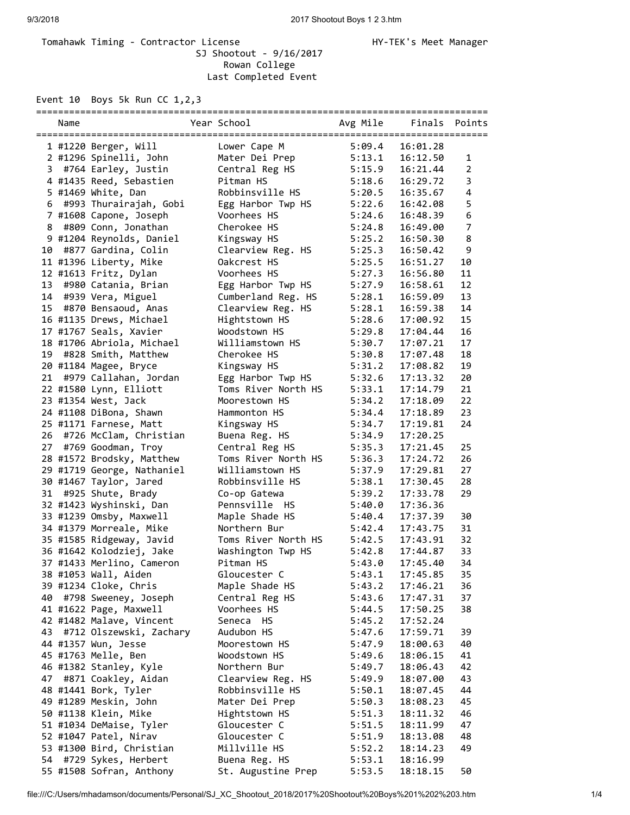## Tomahawk Timing - Contractor License Manager Manager HY-TEK's Meet Manager SJ Shootout - 9/16/2017 Rowan College Last Completed Event

Event 10 Boys 5k Run CC 1,2,3

|    | Name |                            | Year School         | Avg Mile | Finals   | Points         |
|----|------|----------------------------|---------------------|----------|----------|----------------|
|    |      | 1 #1220 Berger, Will       | Lower Cape M        | 5:09.4   | 16:01.28 |                |
|    |      | 2 #1296 Spinelli, John     | Mater Dei Prep      | 5:13.1   | 16:12.50 | 1              |
| 3  |      | #764 Earley, Justin        | Central Reg HS      | 5:15.9   | 16:21.44 | $\overline{2}$ |
|    |      |                            | Pitman HS           |          | 16:29.72 | 3              |
|    |      | 4 #1435 Reed, Sebastien    |                     | 5:18.6   |          |                |
|    |      | 5 #1469 White, Dan         | Robbinsville HS     | 5:20.5   | 16:35.67 | 4              |
| 6  |      | #993 Thurairajah, Gobi     | Egg Harbor Twp HS   | 5:22.6   | 16:42.08 | 5              |
|    |      | 7 #1608 Capone, Joseph     | Voorhees HS         | 5:24.6   | 16:48.39 | 6              |
| 8  |      | #809 Conn, Jonathan        | Cherokee HS         | 5:24.8   | 16:49.00 | $\overline{7}$ |
|    |      | 9 #1204 Reynolds, Daniel   | Kingsway HS         | 5:25.2   | 16:50.30 | 8              |
| 10 |      | #877 Gardina, Colin        | Clearview Reg. HS   | 5:25.3   | 16:50.42 | 9              |
|    |      | 11 #1396 Liberty, Mike     | Oakcrest HS         | 5:25.5   | 16:51.27 | 10             |
|    |      | 12 #1613 Fritz, Dylan      | Voorhees HS         | 5:27.3   | 16:56.80 | 11             |
| 13 |      | #980 Catania, Brian        | Egg Harbor Twp HS   | 5:27.9   | 16:58.61 | 12             |
| 14 |      | #939 Vera, Miguel          | Cumberland Reg. HS  | 5:28.1   | 16:59.09 | 13             |
| 15 |      | #870 Bensaoud, Anas        | Clearview Reg. HS   | 5:28.1   | 16:59.38 | 14             |
|    |      | 16 #1135 Drews, Michael    | Hightstown HS       | 5:28.6   | 17:00.92 | 15             |
|    |      | 17 #1767 Seals, Xavier     | Woodstown HS        | 5:29.8   | 17:04.44 | 16             |
|    |      | 18 #1706 Abriola, Michael  | Williamstown HS     | 5:30.7   | 17:07.21 | 17             |
| 19 |      | #828 Smith, Matthew        | Cherokee HS         | 5:30.8   | 17:07.48 | 18             |
|    |      | 20 #1184 Magee, Bryce      | Kingsway HS         | 5:31.2   | 17:08.82 | 19             |
| 21 |      | #979 Callahan, Jordan      | Egg Harbor Twp HS   | 5:32.6   | 17:13.32 | 20             |
|    |      | 22 #1580 Lynn, Elliott     | Toms River North HS | 5:33.1   | 17:14.79 | 21             |
|    |      | 23 #1354 West, Jack        | Moorestown HS       | 5:34.2   | 17:18.09 | 22             |
|    |      | 24 #1108 DiBona, Shawn     | Hammonton HS        | 5:34.4   | 17:18.89 | 23             |
|    |      | 25 #1171 Farnese, Matt     | Kingsway HS         | 5:34.7   | 17:19.81 | 24             |
|    |      | 26 #726 McClam, Christian  | Buena Reg. HS       | 5:34.9   | 17:20.25 |                |
|    |      | 27 #769 Goodman, Troy      | Central Reg HS      | 5:35.3   | 17:21.45 | 25             |
|    |      | 28 #1572 Brodsky, Matthew  | Toms River North HS | 5:36.3   | 17:24.72 | 26             |
|    |      | 29 #1719 George, Nathaniel | Williamstown HS     | 5:37.9   | 17:29.81 | 27             |
|    |      | 30 #1467 Taylor, Jared     | Robbinsville HS     | 5:38.1   | 17:30.45 | 28             |
| 31 |      | #925 Shute, Brady          | Co-op Gatewa        | 5:39.2   | 17:33.78 | 29             |
|    |      | 32 #1423 Wyshinski, Dan    | Pennsville HS       | 5:40.0   | 17:36.36 |                |
|    |      | 33 #1239 Omsby, Maxwell    | Maple Shade HS      | 5:40.4   | 17:37.39 | 30             |
|    |      | 34 #1379 Morreale, Mike    | Northern Bur        | 5:42.4   | 17:43.75 | 31             |
|    |      | 35 #1585 Ridgeway, Javid   | Toms River North HS | 5:42.5   | 17:43.91 | 32             |
|    |      | 36 #1642 Kolodziej, Jake   | Washington Twp HS   | 5:42.8   | 17:44.87 | 33             |
|    |      | 37 #1433 Merlino, Cameron  | Pitman HS           | 5:43.0   | 17:45.40 | 34             |
|    |      |                            | Gloucester C        |          |          |                |
|    |      | 38 #1053 Wall, Aiden       |                     | 5:43.1   | 17:45.85 | 35             |
|    |      | 39 #1234 Cloke, Chris      | Maple Shade HS      | 5:43.2   | 17:46.21 | 36             |
| 40 |      | #798 Sweeney, Joseph       | Central Reg HS      | 5:43.6   | 17:47.31 | 37             |
|    |      | 41 #1622 Page, Maxwell     | Voorhees HS         | 5:44.5   | 17:50.25 | 38             |
|    |      | 42 #1482 Malave, Vincent   | Seneca HS           | 5:45.2   | 17:52.24 |                |
| 43 |      | #712 Olszewski, Zachary    | Audubon HS          | 5:47.6   | 17:59.71 | 39             |
|    |      | 44 #1357 Wun, Jesse        | Moorestown HS       | 5:47.9   | 18:00.63 | 40             |
|    |      | 45 #1763 Melle, Ben        | Woodstown HS        | 5:49.6   | 18:06.15 | 41             |
|    |      | 46 #1382 Stanley, Kyle     | Northern Bur        | 5:49.7   | 18:06.43 | 42             |
| 47 |      | #871 Coakley, Aidan        | Clearview Reg. HS   | 5:49.9   | 18:07.00 | 43             |
|    |      | 48 #1441 Bork, Tyler       | Robbinsville HS     | 5:50.1   | 18:07.45 | 44             |
|    |      | 49 #1289 Meskin, John      | Mater Dei Prep      | 5:50.3   | 18:08.23 | 45             |
|    |      | 50 #1138 Klein, Mike       | Hightstown HS       | 5:51.3   | 18:11.32 | 46             |
|    |      | 51 #1034 DeMaise, Tyler    | Gloucester C        | 5:51.5   | 18:11.99 | 47             |
|    |      | 52 #1047 Patel, Nirav      | Gloucester C        | 5:51.9   | 18:13.08 | 48             |
|    |      | 53 #1300 Bird, Christian   | Millville HS        | 5:52.2   | 18:14.23 | 49             |
| 54 |      | #729 Sykes, Herbert        | Buena Reg. HS       | 5:53.1   | 18:16.99 |                |
|    |      | 55 #1508 Sofran, Anthony   | St. Augustine Prep  | 5:53.5   | 18:18.15 | 50             |

## file:///C:/Users/mhadamson/documents/Personal/SJ\_XC\_Shootout\_2018/2017%20Shootout%20Boys%201%202%203.htm 1/4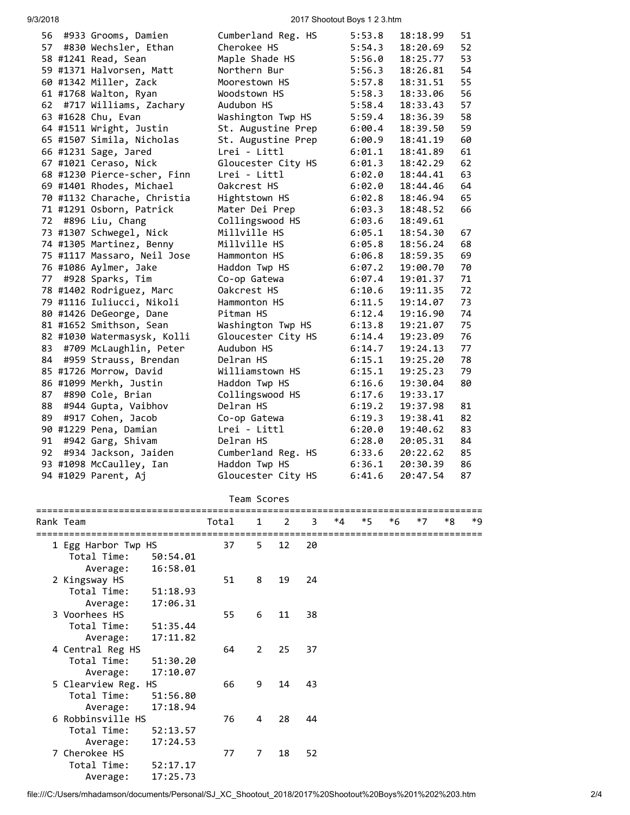9/3/2018 2017 Shootout Boys 1 2 3.htm

| 56 | #933 Grooms, Damien         | Cumberland Reg. HS | 5:53.8 | 18:18.99 | 51 |
|----|-----------------------------|--------------------|--------|----------|----|
| 57 | #830 Wechsler, Ethan        | Cherokee HS        | 5:54.3 | 18:20.69 | 52 |
|    | 58 #1241 Read, Sean         | Maple Shade HS     | 5:56.0 | 18:25.77 | 53 |
|    | 59 #1371 Halvorsen, Matt    | Northern Bur       | 5:56.3 | 18:26.81 | 54 |
|    | 60 #1342 Miller, Zack       | Moorestown HS      | 5:57.8 | 18:31.51 | 55 |
|    | 61 #1768 Walton, Ryan       | Woodstown HS       | 5:58.3 | 18:33.06 | 56 |
| 62 | #717 Williams, Zachary      | Audubon HS         | 5:58.4 | 18:33.43 | 57 |
|    | 63 #1628 Chu, Evan          | Washington Twp HS  | 5:59.4 | 18:36.39 | 58 |
|    | 64 #1511 Wright, Justin     | St. Augustine Prep | 6:00.4 | 18:39.50 | 59 |
|    | 65 #1507 Simila, Nicholas   | St. Augustine Prep | 6:00.9 | 18:41.19 | 60 |
|    | 66 #1231 Sage, Jared        | Lrei - Littl       | 6:01.1 | 18:41.89 | 61 |
|    | 67 #1021 Ceraso, Nick       | Gloucester City HS | 6:01.3 | 18:42.29 | 62 |
|    | 68 #1230 Pierce-scher, Finn | Lrei - Littl       | 6:02.0 | 18:44.41 | 63 |
|    | 69 #1401 Rhodes, Michael    | Oakcrest HS        | 6:02.0 | 18:44.46 | 64 |
|    | 70 #1132 Charache, Christia | Hightstown HS      | 6:02.8 | 18:46.94 | 65 |
|    | 71 #1291 Osborn, Patrick    | Mater Dei Prep     | 6:03.3 | 18:48.52 | 66 |
| 72 | #896 Liu, Chang             | Collingswood HS    | 6:03.6 | 18:49.61 |    |
|    | 73 #1307 Schwegel, Nick     | Millville HS       | 6:05.1 | 18:54.30 | 67 |
|    | 74 #1305 Martinez, Benny    | Millville HS       | 6:05.8 | 18:56.24 | 68 |
|    | 75 #1117 Massaro, Neil Jose | Hammonton HS       | 6:06.8 | 18:59.35 | 69 |
|    | 76 #1086 Aylmer, Jake       | Haddon Twp HS      | 6:07.2 | 19:00.70 | 70 |
| 77 | #928 Sparks, Tim            | Co-op Gatewa       | 6:07.4 | 19:01.37 | 71 |
|    | 78 #1402 Rodriguez, Marc    | Oakcrest HS        | 6:10.6 | 19:11.35 | 72 |
|    | 79 #1116 Iuliucci, Nikoli   | Hammonton HS       | 6:11.5 | 19:14.07 | 73 |
|    | 80 #1426 DeGeorge, Dane     | Pitman HS          | 6:12.4 | 19:16.90 | 74 |
|    | 81 #1652 Smithson, Sean     | Washington Twp HS  | 6:13.8 | 19:21.07 | 75 |
|    | 82 #1030 Watermasysk, Kolli | Gloucester City HS | 6:14.4 | 19:23.09 | 76 |
| 83 | #709 McLaughlin, Peter      | Audubon HS         | 6:14.7 | 19:24.13 | 77 |
| 84 | #959 Strauss, Brendan       | Delran HS          | 6:15.1 | 19:25.20 | 78 |
|    | 85 #1726 Morrow, David      | Williamstown HS    | 6:15.1 | 19:25.23 | 79 |
|    | 86 #1099 Merkh, Justin      | Haddon Twp HS      | 6:16.6 | 19:30.04 | 80 |
| 87 | #890 Cole, Brian            | Collingswood HS    | 6:17.6 | 19:33.17 |    |
| 88 | #944 Gupta, Vaibhov         | Delran HS          | 6:19.2 | 19:37.98 | 81 |
| 89 | #917 Cohen, Jacob           | Co-op Gatewa       | 6:19.3 | 19:38.41 | 82 |
|    | 90 #1229 Pena, Damian       | Lrei - Littl       | 6:20.0 | 19:40.62 | 83 |
| 91 | #942 Garg, Shivam           | Delran HS          | 6:28.0 | 20:05.31 | 84 |
| 92 | #934 Jackson, Jaiden        | Cumberland Reg. HS | 6:33.6 | 20:22.62 | 85 |
|    | 93 #1098 McCaulley, Ian     | Haddon Twp HS      | 6:36.1 | 20:30.39 | 86 |
|    | 94 #1029 Parent, Aj         | Gloucester City HS | 6:41.6 | 20:47.54 | 87 |
|    |                             |                    |        |          |    |

## Team Scores

| Rank Team           |          | Total | $\mathbf{1}$ | 2  | 3  | *4 | $*5$ | $*6$ | $*7$ | *8 | *9 |
|---------------------|----------|-------|--------------|----|----|----|------|------|------|----|----|
| 1 Egg Harbor Twp HS |          | 37    | 5            | 12 | 20 |    |      |      |      |    |    |
| Total Time:         | 50:54.01 |       |              |    |    |    |      |      |      |    |    |
| Average:            | 16:58.01 |       |              |    |    |    |      |      |      |    |    |
| 2 Kingsway HS       |          | 51    | 8            | 19 | 24 |    |      |      |      |    |    |
| Total Time:         | 51:18.93 |       |              |    |    |    |      |      |      |    |    |
| Average:            | 17:06.31 |       |              |    |    |    |      |      |      |    |    |
| 3 Voorhees HS       |          | 55    | 6            | 11 | 38 |    |      |      |      |    |    |
| Total Time:         | 51:35.44 |       |              |    |    |    |      |      |      |    |    |
| Average:            | 17:11.82 |       |              |    |    |    |      |      |      |    |    |
| 4 Central Reg HS    |          | 64    | $\mathbf{2}$ | 25 | 37 |    |      |      |      |    |    |
| Total Time:         | 51:30.20 |       |              |    |    |    |      |      |      |    |    |
| Average:            | 17:10.07 |       |              |    |    |    |      |      |      |    |    |
| 5 Clearview Reg. HS |          | 66    | 9            | 14 | 43 |    |      |      |      |    |    |
| Total Time:         | 51:56.80 |       |              |    |    |    |      |      |      |    |    |
| Average:            | 17:18.94 |       |              |    |    |    |      |      |      |    |    |
| 6 Robbinsville HS   |          | 76    | 4            | 28 | 44 |    |      |      |      |    |    |
| Total Time:         | 52:13.57 |       |              |    |    |    |      |      |      |    |    |
| Average:            | 17:24.53 |       |              |    |    |    |      |      |      |    |    |
| 7 Cherokee HS       |          | 77    | 7            | 18 | 52 |    |      |      |      |    |    |
| Total Time:         | 52:17.17 |       |              |    |    |    |      |      |      |    |    |
| Average:            | 17:25.73 |       |              |    |    |    |      |      |      |    |    |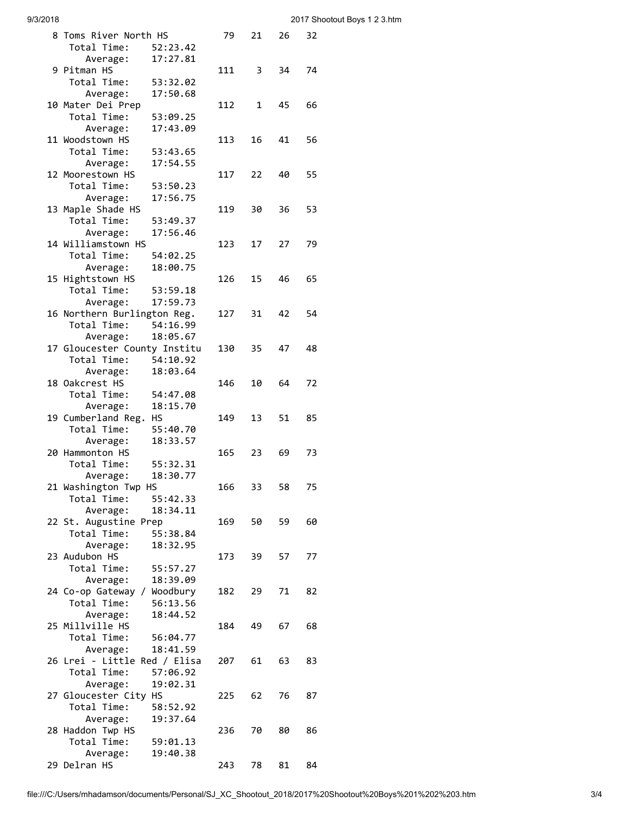| 9/3/2018 |  |
|----------|--|
|          |  |

| 8 Toms River North HS        |          | 79  | 21 | 26 | 32 |
|------------------------------|----------|-----|----|----|----|
| Total Time:                  | 52:23.42 |     |    |    |    |
| Average:                     | 17:27.81 |     |    |    |    |
| 9 Pitman HS                  |          | 111 | 3  | 34 | 74 |
| Total Time:                  | 53:32.02 |     |    |    |    |
| Average:                     | 17:50.68 |     |    |    |    |
| 10 Mater Dei Prep            |          | 112 | 1  | 45 | 66 |
| Total Time:                  | 53:09.25 |     |    |    |    |
|                              | 17:43.09 |     |    |    |    |
| Average:<br>11 Woodstown HS  |          |     |    |    |    |
|                              |          | 113 | 16 | 41 | 56 |
| Total Time:                  | 53:43.65 |     |    |    |    |
| Average:                     | 17:54.55 |     |    |    |    |
| 12 Moorestown HS             |          | 117 | 22 | 40 | 55 |
| Total Time:                  | 53:50.23 |     |    |    |    |
| Average:                     | 17:56.75 |     |    |    |    |
| 13 Maple Shade HS            |          | 119 | 30 | 36 | 53 |
| Total Time:                  | 53:49.37 |     |    |    |    |
| Average:                     | 17:56.46 |     |    |    |    |
| 14 Williamstown HS           |          | 123 | 17 | 27 | 79 |
| Total Time:                  | 54:02.25 |     |    |    |    |
| Average:                     | 18:00.75 |     |    |    |    |
| 15 Hightstown HS             |          | 126 | 15 | 46 | 65 |
| Total Time:                  | 53:59.18 |     |    |    |    |
| Average:                     | 17:59.73 |     |    |    |    |
| 16 Northern Burlington Reg.  |          |     | 31 | 42 | 54 |
|                              |          | 127 |    |    |    |
| Total Time:                  | 54:16.99 |     |    |    |    |
| Average:                     | 18:05.67 |     |    |    |    |
| 17 Gloucester County Institu |          | 130 | 35 | 47 | 48 |
| Total Time:                  | 54:10.92 |     |    |    |    |
| Average:                     | 18:03.64 |     |    |    |    |
| 18 Oakcrest HS               |          | 146 | 10 | 64 | 72 |
| Total Time:                  | 54:47.08 |     |    |    |    |
| Average:                     | 18:15.70 |     |    |    |    |
| 19 Cumberland Reg.           | НS       | 149 | 13 | 51 | 85 |
| Total Time:                  | 55:40.70 |     |    |    |    |
| Average:                     | 18:33.57 |     |    |    |    |
| 20 Hammonton HS              |          | 165 | 23 | 69 | 73 |
| Total Time:                  | 55:32.31 |     |    |    |    |
| Average:                     | 18:30.77 |     |    |    |    |
| 21 Washington Twp HS         |          | 166 | 33 | 58 | 75 |
|                              |          |     |    |    |    |
| Total Time:                  | 55:42.33 |     |    |    |    |
| Average:                     | 18:34.11 |     |    |    |    |
| 22 St. Augustine Prep        |          | 169 | 50 | 59 | 60 |
| Total Time:                  | 55:38.84 |     |    |    |    |
| Average:                     | 18:32.95 |     |    |    |    |
| 23 Audubon HS                |          | 173 | 39 | 57 | 77 |
| Total Time:                  | 55:57.27 |     |    |    |    |
| Average:                     | 18:39.09 |     |    |    |    |
| 24 Co-op Gateway / Woodbury  |          | 182 | 29 | 71 | 82 |
| Total Time:                  | 56:13.56 |     |    |    |    |
| Average:                     | 18:44.52 |     |    |    |    |
| 25 Millville HS              |          | 184 | 49 | 67 | 68 |
| Total Time:                  | 56:04.77 |     |    |    |    |
| Average:                     | 18:41.59 |     |    |    |    |
| 26 Lrei - Little Red / Elisa |          | 207 | 61 | 63 | 83 |
| Total Time:                  | 57:06.92 |     |    |    |    |
|                              |          |     |    |    |    |
| Average:                     | 19:02.31 |     |    |    |    |
| 27 Gloucester City HS        |          | 225 | 62 | 76 | 87 |
| Total Time:                  | 58:52.92 |     |    |    |    |
| Average:                     | 19:37.64 |     |    |    |    |
| 28 Haddon Twp HS             |          | 236 | 70 | 80 | 86 |
| Total Time:                  | 59:01.13 |     |    |    |    |
| Average:                     | 19:40.38 |     |    |    |    |
| 29 Delran HS                 |          | 243 | 78 | 81 | 84 |